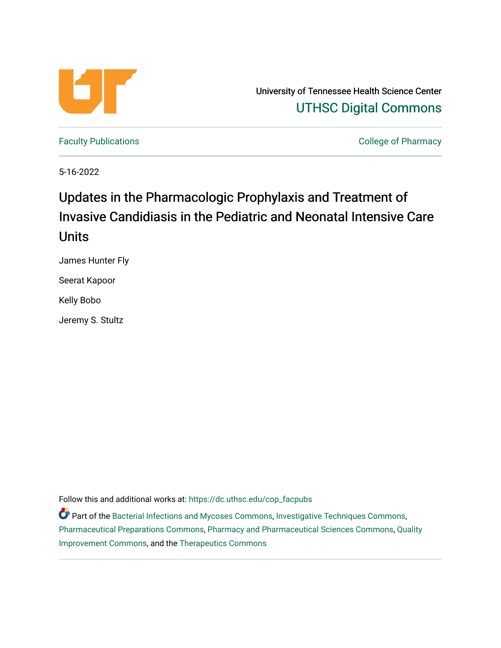

University of Tennessee Health Science Center [UTHSC Digital Commons](https://dc.uthsc.edu/) 

[Faculty Publications](https://dc.uthsc.edu/cop_facpubs) **College of Pharmacy** 

5-16-2022

# Updates in the Pharmacologic Prophylaxis and Treatment of Invasive Candidiasis in the Pediatric and Neonatal Intensive Care Units

James Hunter Fly

Seerat Kapoor

Kelly Bobo

Jeremy S. Stultz

Follow this and additional works at: [https://dc.uthsc.edu/cop\\_facpubs](https://dc.uthsc.edu/cop_facpubs?utm_source=dc.uthsc.edu%2Fcop_facpubs%2F1&utm_medium=PDF&utm_campaign=PDFCoverPages) 

Part of the [Bacterial Infections and Mycoses Commons](https://network.bepress.com/hgg/discipline/966?utm_source=dc.uthsc.edu%2Fcop_facpubs%2F1&utm_medium=PDF&utm_campaign=PDFCoverPages), [Investigative Techniques Commons,](https://network.bepress.com/hgg/discipline/922?utm_source=dc.uthsc.edu%2Fcop_facpubs%2F1&utm_medium=PDF&utm_campaign=PDFCoverPages) [Pharmaceutical Preparations Commons](https://network.bepress.com/hgg/discipline/936?utm_source=dc.uthsc.edu%2Fcop_facpubs%2F1&utm_medium=PDF&utm_campaign=PDFCoverPages), [Pharmacy and Pharmaceutical Sciences Commons](https://network.bepress.com/hgg/discipline/731?utm_source=dc.uthsc.edu%2Fcop_facpubs%2F1&utm_medium=PDF&utm_campaign=PDFCoverPages), [Quality](https://network.bepress.com/hgg/discipline/1430?utm_source=dc.uthsc.edu%2Fcop_facpubs%2F1&utm_medium=PDF&utm_campaign=PDFCoverPages) [Improvement Commons,](https://network.bepress.com/hgg/discipline/1430?utm_source=dc.uthsc.edu%2Fcop_facpubs%2F1&utm_medium=PDF&utm_campaign=PDFCoverPages) and the [Therapeutics Commons](https://network.bepress.com/hgg/discipline/993?utm_source=dc.uthsc.edu%2Fcop_facpubs%2F1&utm_medium=PDF&utm_campaign=PDFCoverPages)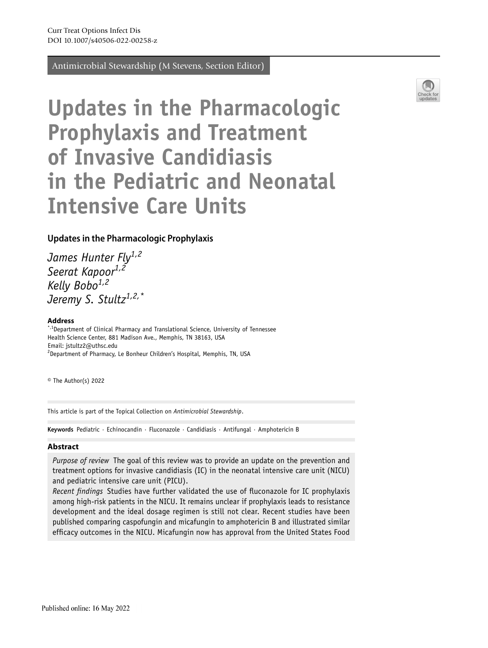Antimicrobial Stewardship (M Stevens, Section Editor)



# **Updates in the Pharmacologic Prophylaxis and Treatment of Invasive Candidiasis in the Pediatric and Neonatal Intensive Care Units**

### **Updates in the Pharmacologic Prophylaxis**

*James Hunter Fly1,2 Seerat Kapoor1,2 Kelly Bobo1,2 Jeremy S. Stultz1,2,\**

#### **Address**

\*,<sup>1</sup>Department of Clinical Pharmacy and Translational Science, University of Tennessee Health Science Center, 881 Madison Ave., Memphis, TN 38163, USA Email: jstultz2@uthsc.edu <sup>2</sup>Department of Pharmacy, Le Bonheur Children's Hospital, Memphis, TN, USA

© The Author(s) 2022

This article is part of the Topical Collection on *Antimicrobial Stewardship*.

**Keywords** Pediatric · Echinocandin · Fluconazole · Candidiasis · Antifungal · Amphotericin B

#### **Abstract**

*Purpose of review* The goal of this review was to provide an update on the prevention and treatment options for invasive candidiasis (IC) in the neonatal intensive care unit (NICU) and pediatric intensive care unit (PICU).

*Recent fndings* Studies have further validated the use of fuconazole for IC prophylaxis among high-risk patients in the NICU. It remains unclear if prophylaxis leads to resistance development and the ideal dosage regimen is still not clear. Recent studies have been published comparing caspofungin and micafungin to amphotericin B and illustrated similar effcacy outcomes in the NICU. Micafungin now has approval from the United States Food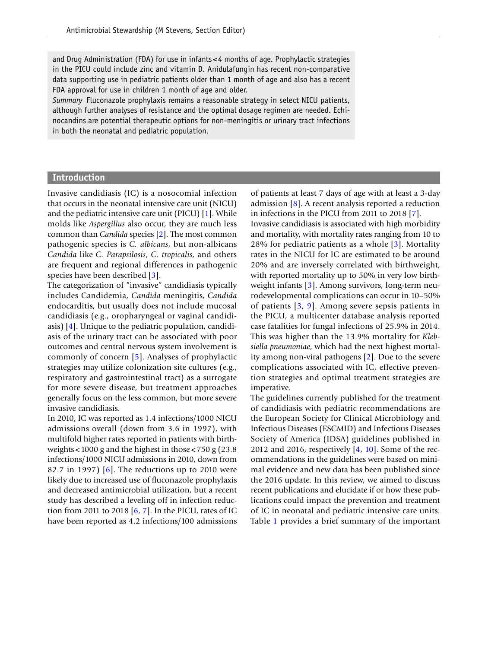and Drug Administration (FDA) for use in infants< 4 months of age. Prophylactic strategies in the PICU could include zinc and vitamin D. Anidulafungin has recent non-comparative data supporting use in pediatric patients older than 1 month of age and also has a recent FDA approval for use in children 1 month of age and older.

*Summary* Fluconazole prophylaxis remains a reasonable strategy in select NICU patients, although further analyses of resistance and the optimal dosage regimen are needed. Echinocandins are potential therapeutic options for non-meningitis or urinary tract infections in both the neonatal and pediatric population.

#### **Introduction**

Invasive candidiasis (IC) is a nosocomial infection that occurs in the neonatal intensive care unit (NICU) and the pediatric intensive care unit (PICU) [[1](#page-17-0)]. While molds like *Aspergillus* also occur, they are much less common than *Candida* species [[2](#page-17-1)]. The most common pathogenic species is *C. albicans*, but non-albicans *Candida* like *C. Parapsilosis*, *C. tropicalis*, and others are frequent and regional differences in pathogenic species have been described [[3](#page-17-2)].

The categorization of "invasive" candidiasis typically includes Candidemia, *Candida* meningitis, *Candida* endocarditis, but usually does not include mucosal candidiasis (e.g., oropharyngeal or vaginal candidiasis) [[4](#page-17-3)]. Unique to the pediatric population, candidiasis of the urinary tract can be associated with poor outcomes and central nervous system involvement is commonly of concern [\[5](#page-17-4)]. Analyses of prophylactic strategies may utilize colonization site cultures (e.g., respiratory and gastrointestinal tract) as a surrogate for more severe disease, but treatment approaches generally focus on the less common, but more severe invasive candidiasis.

In 2010, IC was reported as 1.4 infections/1000 NICU admissions overall (down from 3.6 in 1997), with multifold higher rates reported in patients with birthweights<1000 g and the highest in those<750 g (23.8 infections/1000 NICU admissions in 2010, down from 82.7 in 1997) [[6\]](#page-17-5). The reductions up to 2010 were likely due to increased use of fuconazole prophylaxis and decreased antimicrobial utilization, but a recent study has described a leveling off in infection reduction from 2011 to 2018 [\[6,](#page-17-5) [7\]](#page-17-6). In the PICU, rates of IC have been reported as 4.2 infections/100 admissions

of patients at least 7 days of age with at least a 3-day admission [[8](#page-17-7)]. A recent analysis reported a reduction in infections in the PICU from 2011 to 2018 [[7](#page-17-6)].

Invasive candidiasis is associated with high morbidity and mortality, with mortality rates ranging from 10 to 28% for pediatric patients as a whole [[3](#page-17-2)]. Mortality rates in the NICU for IC are estimated to be around 20% and are inversely correlated with birthweight, with reported mortality up to 50% in very low birthweight infants [[3](#page-17-2)]. Among survivors, long-term neurodevelopmental complications can occur in 10–50% of patients [[3](#page-17-2), [9\]](#page-17-8). Among severe sepsis patients in the PICU, a multicenter database analysis reported case fatalities for fungal infections of 25.9% in 2014. This was higher than the 13.9% mortality for *Klebsiella pneumoniae*, which had the next highest mortality among non-viral pathogens [\[2\]](#page-17-1). Due to the severe complications associated with IC, effective prevention strategies and optimal treatment strategies are imperative.

The guidelines currently published for the treatment of candidiasis with pediatric recommendations are the European Society for Clinical Microbiology and Infectious Diseases (ESCMID) and Infectious Diseases Society of America (IDSA) guidelines published in 2012 and 2016, respectively [\[4,](#page-17-3) [10\]](#page-17-9). Some of the recommendations in the guidelines were based on minimal evidence and new data has been published since the 2016 update. In this review, we aimed to discuss recent publications and elucidate if or how these publications could impact the prevention and treatment of IC in neonatal and pediatric intensive care units. Table [1](#page-3-0) provides a brief summary of the important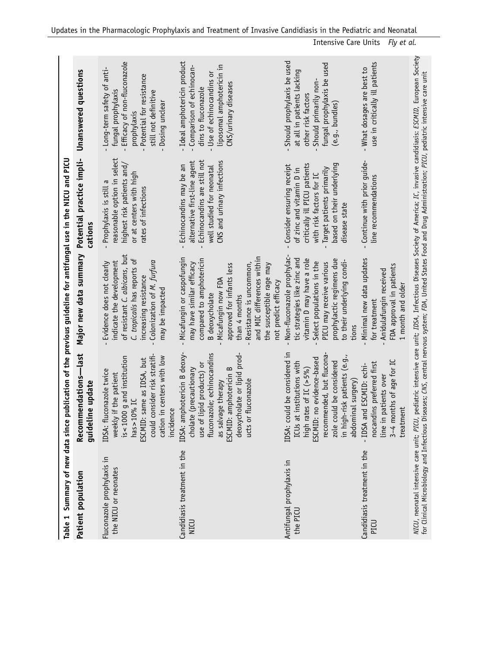<span id="page-3-0"></span>

| Summary of new data since<br>Table 1               |                                                                                                                                                                                                                                    | publication of the previous guideline for antifungal use in the NICU and PICU                                                                                                                                                                                                                           |                                                                                                                                                                                              |                                                                                                                                                                     |
|----------------------------------------------------|------------------------------------------------------------------------------------------------------------------------------------------------------------------------------------------------------------------------------------|---------------------------------------------------------------------------------------------------------------------------------------------------------------------------------------------------------------------------------------------------------------------------------------------------------|----------------------------------------------------------------------------------------------------------------------------------------------------------------------------------------------|---------------------------------------------------------------------------------------------------------------------------------------------------------------------|
| Patient population                                 | Recommendations-last<br>guideline update                                                                                                                                                                                           | Major new data summary                                                                                                                                                                                                                                                                                  | Potential practice impli-<br>cations                                                                                                                                                         | Unanswered questions                                                                                                                                                |
| Fluconazole prophylaxis in<br>the NICU or neonates | consider risk stratifi-<br>cation in centers with low<br>is<1000 g and institution<br>: same as IDSA, but<br>IDSA: fluconazole twice<br>weekly if the patient<br>has $> 10\%$ IC<br>incidence<br>ESCMID:<br>could                  | of resistant C. albicans, but<br>C. tropicalis has reports of<br>Colonization of M. furfura<br>indicate the development<br>Evidence does not clearly<br>increasing resistance<br>may be impacted                                                                                                        | reasonable option in select<br>highest risk patients and/<br>or at centers with high<br>Prophylaxis is still a<br>rates of infections                                                        | Efficacy of non-fluconazole<br>Long-term safety of anti-<br>Potential for resistance<br>fungal prophylaxis<br>still not definitive<br>Dosing unclear<br>prophylaxis |
| Candidiasis treatment in the<br>NICU               | fluconazole; echinocandins<br>IDSA: amphotericin B deoxy-<br>deoxycholate or lipid prod-<br>use of lipid products) or<br>amphotericin B<br>cholate (precautionary<br>ucts or fluconazole<br>as salvage therapy<br>ESCMID:          | and MIC differences within<br>Micafungin or caspofungin<br>compared to amphotericin<br>may have similar efficacy<br>approved for infants less<br>Resistance is uncommon,<br>the susceptible rage may<br>Micafungin now FDA<br>not predict efficacy<br><b>B</b> deoxycholate<br>than 4 months            | Echinocandins are still not<br>alternative first-line agent<br>CNS and urinary infections<br>Echinocandins may be an<br>well studied for neonatal                                            | Ideal amphotericin product<br>liposomal amphotericin in<br>Comparison of echinocan-<br>Use of echinocandins or<br>CNS/urinary diseases<br>dins to fluconazole       |
| Antifungal prophylaxis in<br>the PICU              | IDSA: could be considered in<br>recommended, but flucona<br>in high-risk patients (e.g.,<br>ESCMID: no evidence-based<br>ICUs at institutions with<br>zole could be considered<br>high rates of IC $( > 5\%)$<br>abdominal surgery | Non-fluconazole prophylac-<br>tic strategies like zinc and<br>vitamin D may have a role<br>prophylactic regimens due<br>to their underlying condi-<br>Select populations in the<br>PICU may receive various<br>tions                                                                                    | critically ill PICU patients<br>Consider ensuring receipt<br>based on their underlying<br>Target patients primarily<br>of zinc and vitamin D in<br>with risk factors for IC<br>disease state | Should prophylaxis be used<br>fungal prophylaxis be used<br>at all in patients lacking<br>Should primarily non-<br>other risk factors<br>$(e.g.,$ bundles)          |
| Candidiasis treatment in the<br>PICU               | 3-4 months of age for IC<br>nocandins preferred first<br>- IDSA and ESCMID: echi-<br>patients over<br>treatment<br>line in                                                                                                         | Minimal new data updates<br>FDA approval in patients<br>Anidulafungin received<br>1 month and older<br>for treatment                                                                                                                                                                                    | Continue with prior quide-<br>line recommendations                                                                                                                                           | use in critically ill patients<br>What dosages are best to                                                                                                          |
| NICU, neonatal intensive care unit; PICU,          |                                                                                                                                                                                                                                    | pediatric intensive care unit; IDSA, Infectious Diseases Society of America; IC, invasive candidiasis: ESCMID, European Society<br>for Clinical Microbiology and Infectious Diseases; CNS, central nervous system; FDA, United States Food and Drug Administration; PICU, pediatric intensive care unit |                                                                                                                                                                                              |                                                                                                                                                                     |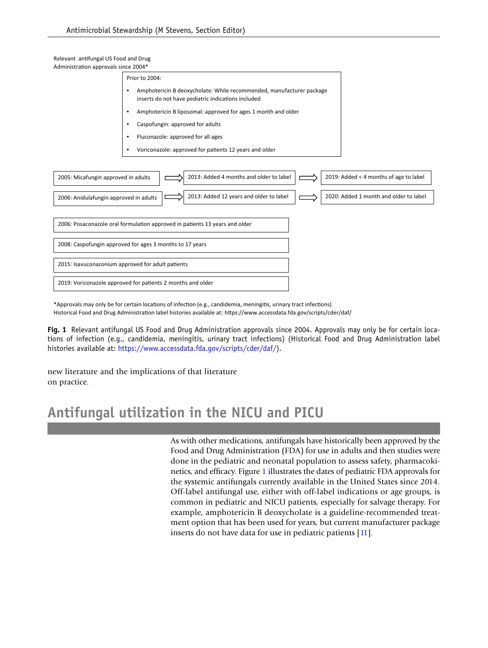Relevant antifungal US Food and Drug Administration approvals since 2004\*

| ummistration approvais since 200 <del>4</del> |                                                                                                                            |
|-----------------------------------------------|----------------------------------------------------------------------------------------------------------------------------|
|                                               | Prior to 2004:                                                                                                             |
|                                               | Amphotericin B deoxycholate: While recommended, manufacturer package<br>inserts do not have pediatric indications included |
|                                               | Amphotericin B liposomal: approved for ages 1 month and older                                                              |
|                                               | Caspofungin: approved for adults                                                                                           |
|                                               | Fluconazole: approved for all ages                                                                                         |
|                                               | Voriconazole: approved for patients 12 years and older                                                                     |
|                                               |                                                                                                                            |
| 2005: Micafungin approved in adults           | 2013: Added 4 months and older to label<br>2019: Added < 4 months of age to label                                          |
| 2006: Anidulafungin approved in adults        | 2013: Added 12 years and older to label<br>2020: Added 1 month and older to label                                          |
|                                               |                                                                                                                            |
|                                               | 2006: Posaconazole oral formulation approved in patients 13 years and older                                                |
|                                               | 2008: Caspofungin approved for ages 3 months to 17 years                                                                   |
|                                               | 2015: Isavuconazonium approved for adult patients                                                                          |
|                                               | 2019: Voriconazole approved for patients 2 months and older                                                                |

\*Approvals may only be for certain locations of infection (e.g., candidemia, meningitis, urinary tract infections) Historical Food and Drug Administration label histories available at: https://www.accessdata.fda.gov/scripts/cder/daf/

<span id="page-4-0"></span>**Fig. 1** Relevant antifungal US Food and Drug Administration approvals since 2004. Approvals may only be for certain locations of infection (e.g., candidemia, meningitis, urinary tract infections) (Historical Food and Drug Administration label histories available at: <https://www.accessdata.fda.gov/scripts/cder/daf/>).

new literature and the implications of that literature on practice.

# **Antifungal utilization in the NICU and PICU**

As with other medications, antifungals have historically been approved by the Food and Drug Administration (FDA) for use in adults and then studies were done in the pediatric and neonatal population to assess safety, pharmacokinetics, and effcacy. Figure [1](#page-4-0) illustrates the dates of pediatric FDA approvals for the systemic antifungals currently available in the United States since 2014. Off-label antifungal use, either with off-label indications or age groups, is common in pediatric and NICU patients, especially for salvage therapy. For example, amphotericin B deoxycholate is a guideline-recommended treatment option that has been used for years, but current manufacturer package inserts do not have data for use in pediatric patients [[11](#page-17-10)].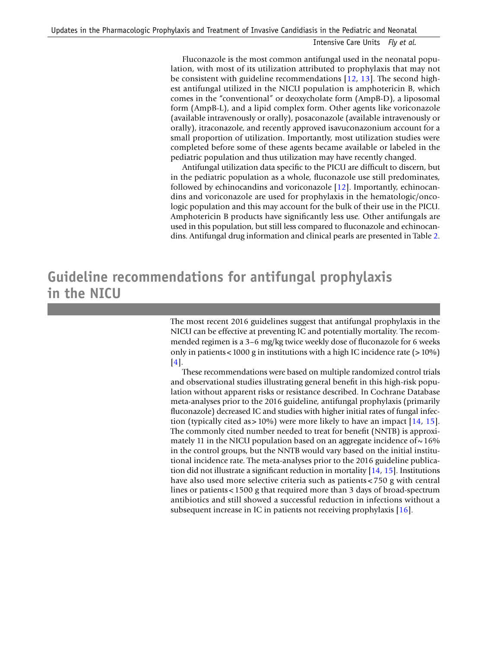Fluconazole is the most common antifungal used in the neonatal population, with most of its utilization attributed to prophylaxis that may not be consistent with guideline recommendations  $[12, 13]$  $[12, 13]$ . The second highest antifungal utilized in the NICU population is amphotericin B, which comes in the "conventional" or deoxycholate form (AmpB-D), a liposomal form (AmpB-L), and a lipid complex form. Other agents like voriconazole (available intravenously or orally), posaconazole (available intravenously or orally), itraconazole, and recently approved isavuconazonium account for a small proportion of utilization. Importantly, most utilization studies were completed before some of these agents became available or labeled in the pediatric population and thus utilization may have recently changed.

Antifungal utilization data specifc to the PICU are diffcult to discern, but in the pediatric population as a whole, fuconazole use still predominates, followed by echinocandins and voriconazole [\[12\]](#page-17-11). Importantly, echinocandins and voriconazole are used for prophylaxis in the hematologic/oncologic population and this may account for the bulk of their use in the PICU. Amphotericin B products have signifcantly less use. Other antifungals are used in this population, but still less compared to fuconazole and echinocandins. Antifungal drug information and clinical pearls are presented in Table [2.](#page-6-0)

# **Guideline recommendations for antifungal prophylaxis in the NICU**

The most recent 2016 guidelines suggest that antifungal prophylaxis in the NICU can be effective at preventing IC and potentially mortality. The recommended regimen is a 3–6 mg/kg twice weekly dose of fuconazole for 6 weeks only in patients<1000 g in institutions with a high IC incidence rate (> 10%) [[4\]](#page-17-3).

These recommendations were based on multiple randomized control trials and observational studies illustrating general beneft in this high-risk population without apparent risks or resistance described. In Cochrane Database meta-analyses prior to the 2016 guideline, antifungal prophylaxis (primarily fuconazole) decreased IC and studies with higher initial rates of fungal infection (typically cited as  $> 10\%$ ) were more likely to have an impact [[14](#page-18-0), [15](#page-18-1)]. The commonly cited number needed to treat for beneft (NNTB) is approximately 11 in the NICU population based on an aggregate incidence of  $\sim$  16% in the control groups, but the NNTB would vary based on the initial institutional incidence rate. The meta-analyses prior to the 2016 guideline publication did not illustrate a signifcant reduction in mortality [\[14](#page-18-0), [15\]](#page-18-1). Institutions have also used more selective criteria such as patients < 750 g with central lines or patients<1500 g that required more than 3 days of broad-spectrum antibiotics and still showed a successful reduction in infections without a subsequent increase in IC in patients not receiving prophylaxis [\[16](#page-18-2)].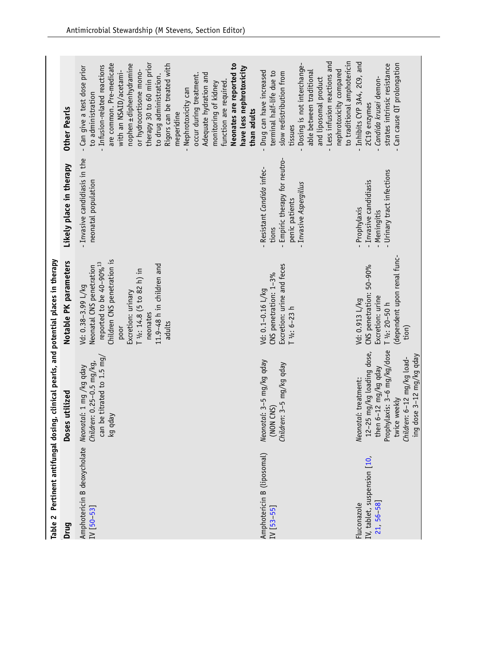<span id="page-6-0"></span>

| Drug                                                   | Table 2 Pertinent antifungal dosing, clinical pearls, and potential places in therapy<br>Doses utilized                                                                            | Notable PK parameters                                                                                                                                                                                                               | Likely place in therapy                                                                                        | <b>Other Pearls</b>                                                                                                                                                                                                                                                                                                                                                                                                                                                                                  |
|--------------------------------------------------------|------------------------------------------------------------------------------------------------------------------------------------------------------------------------------------|-------------------------------------------------------------------------------------------------------------------------------------------------------------------------------------------------------------------------------------|----------------------------------------------------------------------------------------------------------------|------------------------------------------------------------------------------------------------------------------------------------------------------------------------------------------------------------------------------------------------------------------------------------------------------------------------------------------------------------------------------------------------------------------------------------------------------------------------------------------------------|
| Amphotericin B deoxycholate<br>$IV$ [50-53]            | can be titrated to 1.5 mg/<br>Children: 0.25-0.5 mg/kg,<br>Neonatal: 1 mg /kg qday<br>kg qday                                                                                      | Children CNS penetration is<br>reported to be 40-90% <sup>13</sup><br>11.9-48 h in children and<br>Neonatal CNS penetration<br>T 1/2: 14.8 (5 to 82 h) in<br>Vd: 0.38-3.99 L/kg<br>Excretion: urinary<br>neonates<br>adults<br>poor | - Invasive candidiasis in the<br>neonatal population                                                           | therapy 30 to 60 min prior<br>are common. Pre-medicate<br>Rigors can be treated with<br>Neonates are reported to<br>nophen ± diphenhydramine<br>Infusion-related reactions<br>- Can give a test dose prior<br>have less nephrotoxicity<br>or hydrocortisone mono-<br>with an NSAID/acetami-<br>occur during treatment.<br>Adequate hydration and<br>to drug administration.<br>function are required<br>monitoring of kidney<br>Nephrotoxicity can<br>to administration<br>than adults<br>meperidine |
| Amphotericin B (liposomal)<br>$IV$ [53-55]             | Neonatal: 3-5 mg/kg qday<br>Children: 3-5 mg/kg qday<br>(NON CNS)                                                                                                                  | Excretion: urine and feces<br>CNS penetration: 1-3%<br>Vd: 0.1-0.16 L/kg<br>$T$ $1/2$ : 6-23 h                                                                                                                                      | - Empiric therapy for neutro-<br>- Resistant Candida infec-<br>Invasive Aspergillus<br>penic patients<br>tions | - Less infusion reactions and<br>to traditional amphotericin<br>- Dosing is not interchange-<br>nephrotoxicity compared<br>Drug can have increased<br>terminal half-life due to<br>able between traditional<br>slow redistribution from<br>and liposomal product<br>tissues                                                                                                                                                                                                                          |
| IV, tablet, suspension [10,<br>21 56 58<br>Fluconazole | Prophylaxis: 3-6 mg/kg/dose<br>12-25 mg/kg loading dose,<br>ing dose 3-12 mg/kg qday<br>Children: 6-12 mg/kg load-<br>then 6-12 mg/kg qday<br>Neonatal: treatment:<br>twice weekly | dependent upon renal func-<br>CNS penetration: 50-90%<br>Excretion: urine<br>Vd: 0.913 L/kg<br>T $1/2$ : 20-50 h<br>tion)                                                                                                           | - Urinary tract infections<br>- Invasive candidiasis<br>- Prophylaxis<br>- Meningitis                          | - Inhibits CYP 3A4, 2C9, and<br>Can cause QT prolongation<br>strates intrinsic resistance<br>Candida krusei demon-<br>2C19 enzymes                                                                                                                                                                                                                                                                                                                                                                   |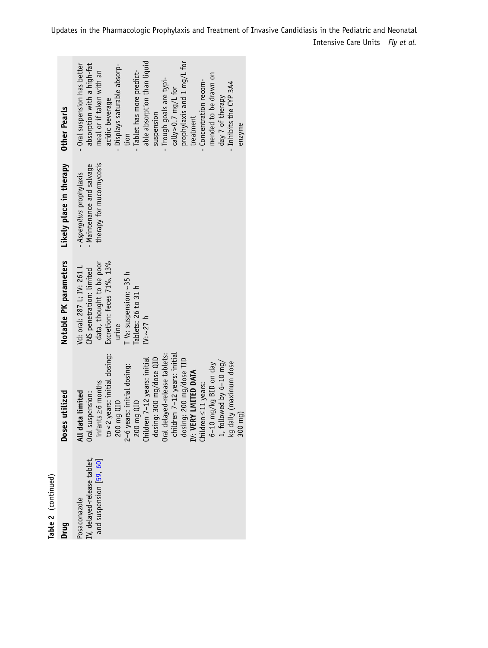| IV, delayed-release tablet,<br>and suspension [59, 60]<br>Posaconazole | to < 2 years: initial dosing:<br>All data limited<br>Doses utilized<br>Oral suspension:<br>200 mg QID                                                                                                                                                                                                                                              | Notable PK parameters<br>Excretion: feces 71%, 13%<br>data, thought to be poor<br>Vd: oral: 287 L; IV: 261 L<br>CNS penetration: limited<br>urine | Likely place in therapy<br>therapy for mucormycosis<br>- Maintenance and salvage<br>- Aspergillus prophylaxis | - Oral suspension has better<br>absorption with a high-fat<br>- Displays saturable absorp-<br>meal or if taken with an<br>acidic beverage<br>Other Pearls                                                                                                                                   |
|------------------------------------------------------------------------|----------------------------------------------------------------------------------------------------------------------------------------------------------------------------------------------------------------------------------------------------------------------------------------------------------------------------------------------------|---------------------------------------------------------------------------------------------------------------------------------------------------|---------------------------------------------------------------------------------------------------------------|---------------------------------------------------------------------------------------------------------------------------------------------------------------------------------------------------------------------------------------------------------------------------------------------|
|                                                                        | Oral delayed-release tablets:<br>children 7-12 years: initial<br>dosing: 300 mg/dose QID<br>Children 7-12 years: initial<br>dosing: 200 mg/dose TID<br>$6-10$ mg/kg BID on day<br>1, followed by $6-10$ mg/<br>kg daily (maximum dose<br>2-6 years: initial dosing:<br>IV <b>: VERY LMITED DATA</b><br>Children≤11 years:<br>200 mg QID<br>300 mg) | T 1/2: suspension: ~ 35 h<br>Tablets: 26 to 31 h<br>IV: $\sim$ 27 h                                                                               |                                                                                                               | able absorption than liquid<br>prophylaxis and 1 mg/L for<br>- Tablet has more predict-<br>mended to be drawn on<br>- Trough goals are typi-<br>- Concentration recom-<br>- Inhibits the CYP 3A4<br>cally $> 0.7$ mg/L for<br>day 7 of therapy<br>suspension<br>treatment<br>enzyme<br>tion |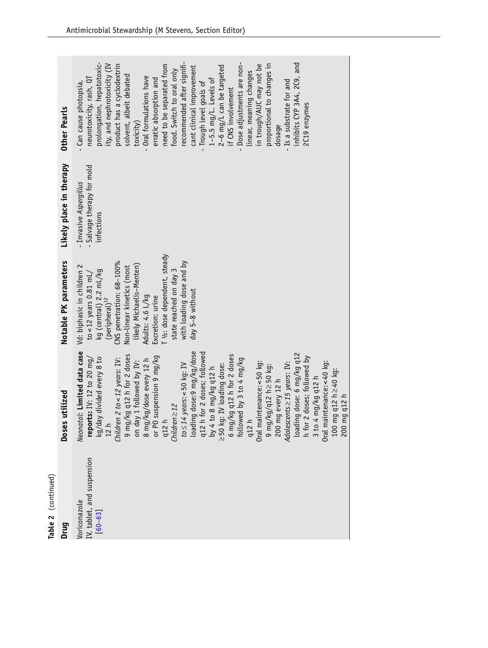| Table 2 (continued)                                       |                                                                                                                                                                                                                                                                                                                                                                                                                                                                                                                                                                                                                                                                                                                                                                                                                      |                                                                                                                                                                                                                                                                                                                                               |                                                                  |                                                                                                                                                                                                                                                                                                                                                                                                                                                                                                                                                                                                                                                                             |
|-----------------------------------------------------------|----------------------------------------------------------------------------------------------------------------------------------------------------------------------------------------------------------------------------------------------------------------------------------------------------------------------------------------------------------------------------------------------------------------------------------------------------------------------------------------------------------------------------------------------------------------------------------------------------------------------------------------------------------------------------------------------------------------------------------------------------------------------------------------------------------------------|-----------------------------------------------------------------------------------------------------------------------------------------------------------------------------------------------------------------------------------------------------------------------------------------------------------------------------------------------|------------------------------------------------------------------|-----------------------------------------------------------------------------------------------------------------------------------------------------------------------------------------------------------------------------------------------------------------------------------------------------------------------------------------------------------------------------------------------------------------------------------------------------------------------------------------------------------------------------------------------------------------------------------------------------------------------------------------------------------------------------|
| Drug                                                      | Doses utilized                                                                                                                                                                                                                                                                                                                                                                                                                                                                                                                                                                                                                                                                                                                                                                                                       | Notable PK parameters                                                                                                                                                                                                                                                                                                                         | Likely place in therapy                                          | <b>Other Pearls</b>                                                                                                                                                                                                                                                                                                                                                                                                                                                                                                                                                                                                                                                         |
| IV, tablet, and suspension<br>Voriconazole<br>$[60 - 63]$ | Neonatal: Limited data case<br>loading dose:9 mg/kg/dose<br>q12 h for 2 doses; followed<br>loading dose: 6 mg/kg q12<br>9 mg/kg q12 h for 2 doses<br>6 mg/kg q12 h for 2 doses<br>or PO suspension 9 mg/kg<br>h for 2 doses; followed by<br>reports: IV: 12 to 20 mg/<br>kg/day divided every 8 to<br>Children 2 to < $12$ years: IV:<br>followed by 3 to 4 mg/kg<br>8 mg/kg/dose every 12 h<br>on day 1 followed by IV:<br>Oral maintenance: < 50 kg:<br>Oral maintenance: <40 kg:<br>$Adolescents \geq 15$ years: IV:<br>$to \leq 14$ years: <50 kg: IV<br>≥50 kg: IV loading dose:<br>$9 \, \text{mg/kg/q12} \, \text{h} \geq 50 \, \text{kg}$ :<br>by 4 to 8 mg/kg q12 h<br>mg q12 h≥40 kg:<br>3 to 4 mg/kg q12 h<br>200 mg every 12 h<br>$mg$ q12 h<br>$Children \geq 12$<br>q12 h<br>12 h<br>q12<br>100<br>200 | T 1/2: dose dependent, steady<br>CNS penetration: 68-100%<br>with loading dose and by<br>likely Michaelis-Menten)<br>Vd: biphasic in children 2<br>Non-linear kinetics (most<br>kg (central) 2.2 mL/kg<br>state reached on day 3<br>to <12 years $0.81$ mL/<br>day 5-8 without<br>Adults: 4.6 L/kg<br>Excretion: urine<br>$(perioderal)^{12}$ | - Salvage therapy for mold<br>Invasive Aspergillus<br>infections | recommended after signifi-<br>inhibits CYP 3A4, 2C9, and<br>prolongation, hepatotoxic-<br>- Dose adjustments are non-<br>in trough/AUC may not be<br>proportional to changes in<br>product has a cyclodextrin<br>solvent, albeit debated<br>ity, and nephrotoxicity (IV<br>need to be separated from<br>2-6 mg/L can be targeted<br>cant clinical improvement<br>food. Switch to oral only<br>linear, meaning changes<br>- Oral formulations have<br>neurotoxicity, rash, QT<br>1-5.5 mg/L. Levels of<br>erratic absorption and<br>- Is a substrate for and<br>Can cause photopsia,<br>- Trough level goals of<br>if CNS involvement<br>2C19 enzymes<br>toxicity)<br>dosage |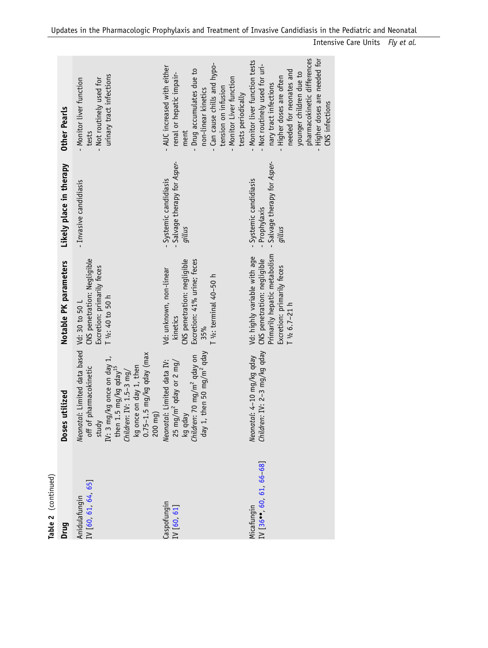| Table 2 (continued)                  |                                                                                                                                                                                                                                         |                                                                                                                                                    |                                                                               |                                                                                                                                                                                                                                                        |
|--------------------------------------|-----------------------------------------------------------------------------------------------------------------------------------------------------------------------------------------------------------------------------------------|----------------------------------------------------------------------------------------------------------------------------------------------------|-------------------------------------------------------------------------------|--------------------------------------------------------------------------------------------------------------------------------------------------------------------------------------------------------------------------------------------------------|
| Drug                                 | Doses utilized                                                                                                                                                                                                                          | Notable PK parameters                                                                                                                              | Likely place in therapy                                                       | <b>Other Pearls</b>                                                                                                                                                                                                                                    |
| Anidulafungin<br>IV [60, 61, 64, 65] | Neonatal: Limited data based<br>kg once on day 1, then<br>0.75–1.5 mg/kg qday (max<br>study<br>IV: 3 mg/kg once on day 1,<br>off of pharmacokinetic<br>then 1.5 mg/kg qday <sup>15</sup><br>C <i>hildren</i> : IV: 1.5–3 mg/<br>200 mg) | CNS penetration: Negligible<br>Excretion: primarily feces<br>T 1/2: 40 to 50 h<br>Vd: 30 to 50                                                     | - Invasive candidiasis                                                        | urinary tract infections<br>- Monitor liver function<br>- Not routinely used for<br>tests                                                                                                                                                              |
| Caspofungin<br>IV [60, 61]           | 1, then 50 mg/m <sup>2</sup> qday<br>$25$ mg/m <sup>2</sup> qday or 2 mg/<br>kg qday<br><i>Children</i> : 70 mg/m <sup>2</sup> qday on<br>Neonatal: Limited data IV:<br>$\sqrt{e}b$                                                     | CNS penetration: negligible<br>Excretion: 41% urine; feces<br>Vd: unknown, non-linear<br>T $1/2$ : terminal $40-50$ h<br>kinetics<br>35%           | - Salvage therapy for Asper-<br>Systemic candidiasis<br>gillus                | - Can cause chills and hypo-<br>- AUC increased with either<br>- Drug accumulates due to<br>renal or hepatic impair-<br>- Monitor Liver function<br>tension on infusion<br>non-linear kinetics<br>tests periodically<br>ment                           |
| IV 36  60 61 66-68<br>Micafungin     | en: IV: 2-3 mg/kg qday<br>Neonatal: 4-10 mg/kg qday<br>Childr                                                                                                                                                                           | Primarily hepatic metabolism<br>Vd: highly variable with age<br>CNS penetration: negligible<br>Excretion: primarily feces<br>$T\frac{1}{2}6.7-21h$ | - Salvage therapy for Asper-<br>Systemic candidiasis<br>Prophylaxis<br>gillus | pharmacokinetic differences<br>- Higher doses are needed for<br>Monitor liver function tests<br>Not routinely used for uri-<br>needed for neonates and<br>younger children due to<br>Higher doses are often<br>nary tract infections<br>CNS infections |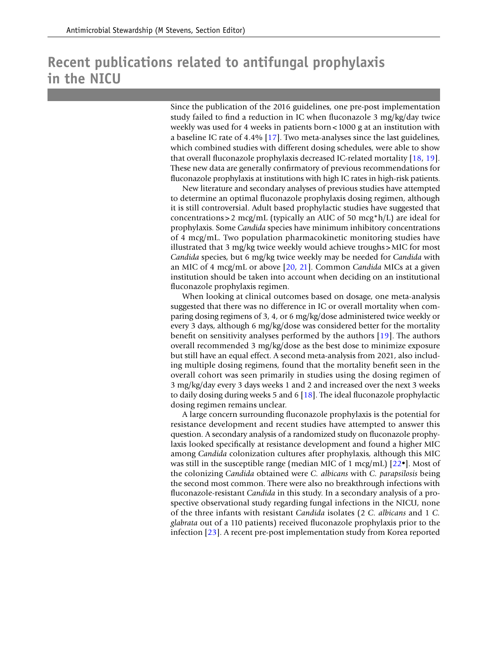### **Recent publications related to antifungal prophylaxis in the NICU**

Since the publication of the 2016 guidelines, one pre-post implementation study failed to fnd a reduction in IC when fuconazole 3 mg/kg/day twice weekly was used for 4 weeks in patients born<1000 g at an institution with a baseline IC rate of 4.4% [[17](#page-18-5)]. Two meta-analyses since the last guidelines, which combined studies with different dosing schedules, were able to show that overall fuconazole prophylaxis decreased IC-related mortality [\[18,](#page-18-6) [19\]](#page-18-7). These new data are generally confrmatory of previous recommendations for fuconazole prophylaxis at institutions with high IC rates in high-risk patients.

New literature and secondary analyses of previous studies have attempted to determine an optimal fuconazole prophylaxis dosing regimen, although it is still controversial. Adult based prophylactic studies have suggested that concentrations > 2 mcg/mL (typically an AUC of 50 mcg\*h/L) are ideal for prophylaxis. Some *Candida* species have minimum inhibitory concentrations of 4 mcg/mL. Two population pharmacokinetic monitoring studies have illustrated that 3 mg/kg twice weekly would achieve troughs >MIC for most *Candida* species, but 6 mg/kg twice weekly may be needed for *Candida* with an MIC of 4 mcg/mL or above [[20](#page-18-8), [21\]](#page-18-3). Common *Candida* MICs at a given institution should be taken into account when deciding on an institutional fuconazole prophylaxis regimen.

When looking at clinical outcomes based on dosage, one meta-analysis suggested that there was no difference in IC or overall mortality when comparing dosing regimens of 3, 4, or 6 mg/kg/dose administered twice weekly or every 3 days, although 6 mg/kg/dose was considered better for the mortality beneft on sensitivity analyses performed by the authors [[19](#page-18-7)]. The authors overall recommended 3 mg/kg/dose as the best dose to minimize exposure but still have an equal effect. A second meta-analysis from 2021, also including multiple dosing regimens, found that the mortality beneft seen in the overall cohort was seen primarily in studies using the dosing regimen of 3 mg/kg/day every 3 days weeks 1 and 2 and increased over the next 3 weeks to daily dosing during weeks 5 and 6 [[18\]](#page-18-6). The ideal fuconazole prophylactic dosing regimen remains unclear.

A large concern surrounding fuconazole prophylaxis is the potential for resistance development and recent studies have attempted to answer this question. A secondary analysis of a randomized study on fuconazole prophylaxis looked specifcally at resistance development and found a higher MIC among *Candida* colonization cultures after prophylaxis, although this MIC was still in the susceptible range (median MIC of 1 mcg/mL)  $[22^{\bullet}]$ . Most of the colonizing *Candida* obtained were *C. albicans* with *C. parapsilosis* being the second most common. There were also no breakthrough infections with fuconazole-resistant *Candida* in this study. In a secondary analysis of a prospective observational study regarding fungal infections in the NICU, none of the three infants with resistant *Candida* isolates (2 *C. albicans* and 1 *C. glabrata* out of a 110 patients) received fuconazole prophylaxis prior to the infection [\[23\]](#page-18-10). A recent pre-post implementation study from Korea reported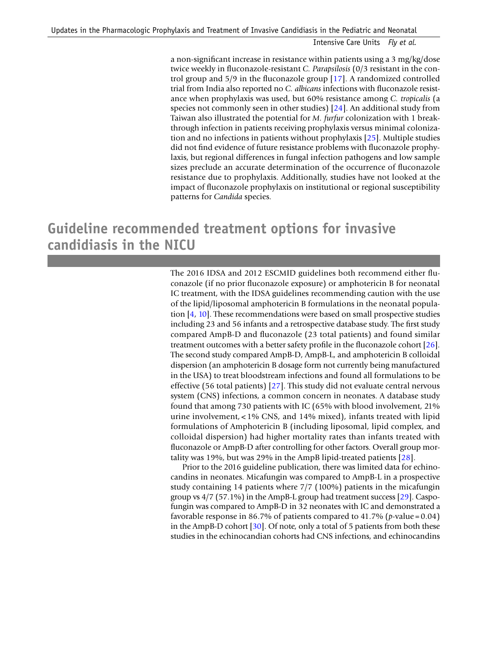a non-signifcant increase in resistance within patients using a 3 mg/kg/dose twice weekly in fuconazole-resistant *C. Parapsilosis* (0/3 resistant in the control group and 5/9 in the fuconazole group [[17\]](#page-18-5). A randomized controlled trial from India also reported no *C. albicans* infections with fuconazole resistance when prophylaxis was used, but 60% resistance among *C. tropicalis* (a species not commonly seen in other studies) [[24\]](#page-18-11). An additional study from Taiwan also illustrated the potential for *M. furfur* colonization with 1 breakthrough infection in patients receiving prophylaxis versus minimal colonization and no infections in patients without prophylaxis [[25](#page-18-12)]. Multiple studies did not fnd evidence of future resistance problems with fuconazole prophylaxis, but regional differences in fungal infection pathogens and low sample sizes preclude an accurate determination of the occurrence of fuconazole resistance due to prophylaxis. Additionally, studies have not looked at the impact of fuconazole prophylaxis on institutional or regional susceptibility patterns for *Candida* species.

# **Guideline recommended treatment options for invasive candidiasis in the NICU**

The 2016 IDSA and 2012 ESCMID guidelines both recommend either fuconazole (if no prior fuconazole exposure) or amphotericin B for neonatal IC treatment, with the IDSA guidelines recommending caution with the use of the lipid/liposomal amphotericin B formulations in the neonatal population [[4](#page-17-3), [10](#page-17-9)]. These recommendations were based on small prospective studies including 23 and 56 infants and a retrospective database study. The frst study compared AmpB-D and fuconazole (23 total patients) and found similar treatment outcomes with a better safety profle in the fuconazole cohort [\[26\]](#page-18-13). The second study compared AmpB-D, AmpB-L, and amphotericin B colloidal dispersion (an amphotericin B dosage form not currently being manufactured in the USA) to treat bloodstream infections and found all formulations to be effective (56 total patients) [\[27\]](#page-18-14). This study did not evaluate central nervous system (CNS) infections, a common concern in neonates. A database study found that among 730 patients with IC (65% with blood involvement, 21% urine involvement, < 1% CNS, and 14% mixed), infants treated with lipid formulations of Amphotericin B (including liposomal, lipid complex, and colloidal dispersion) had higher mortality rates than infants treated with fuconazole or AmpB-D after controlling for other factors. Overall group mortality was 19%, but was 29% in the AmpB lipid-treated patients [[28](#page-18-15)].

Prior to the 2016 guideline publication, there was limited data for echinocandins in neonates. Micafungin was compared to AmpB-L in a prospective study containing 14 patients where 7/7 (100%) patients in the micafungin group vs  $4/7$  (57.1%) in the AmpB-L group had treatment success [\[29](#page-18-16)]. Caspofungin was compared to AmpB-D in 32 neonates with IC and demonstrated a favorable response in 86.7% of patients compared to 41.7% (*p*-value=0.04) in the AmpB-D cohort  $[30]$  $[30]$ . Of note, only a total of 5 patients from both these studies in the echinocandian cohorts had CNS infections, and echinocandins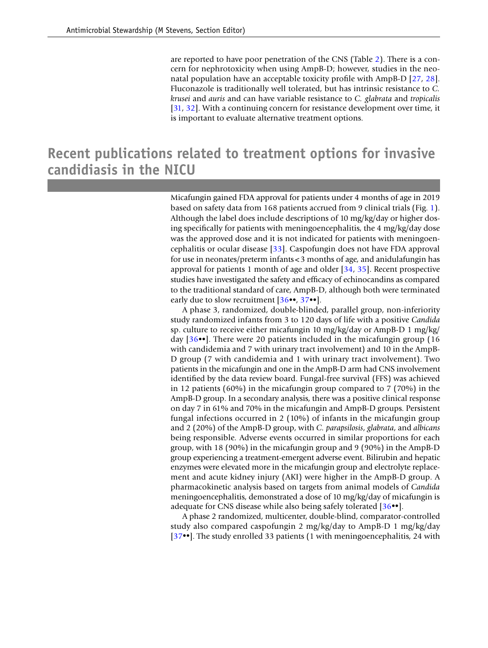are reported to have poor penetration of the CNS (Table [2\)](#page-6-0). There is a concern for nephrotoxicity when using AmpB-D; however, studies in the neonatal population have an acceptable toxicity profle with AmpB-D [[27](#page-18-14), [28\]](#page-18-15). Fluconazole is traditionally well tolerated, but has intrinsic resistance to *C. krusei* and *auris* and can have variable resistance to *C. glabrata* and *tropicalis* [[31](#page-18-18), [32](#page-18-19)]. With a continuing concern for resistance development over time, it is important to evaluate alternative treatment options.

### **Recent publications related to treatment options for invasive candidiasis in the NICU**

Micafungin gained FDA approval for patients under 4 months of age in 2019 based on safety data from 168 patients accrued from 9 clinical trials (Fig. [1](#page-4-0)). Although the label does include descriptions of 10 mg/kg/day or higher dosing specifcally for patients with meningoencephalitis, the 4 mg/kg/day dose was the approved dose and it is not indicated for patients with meningoencephalitis or ocular disease  $[33]$ . Caspofungin does not have FDA approval for use in neonates/preterm infants<3 months of age, and anidulafungin has approval for patients 1 month of age and older [[34,](#page-18-21) [35\]](#page-18-22). Recent prospective studies have investigated the safety and effcacy of echinocandins as compared to the traditional standard of care, AmpB-D, although both were terminated early due to slow recruitment [[36•](#page-18-4)•, [37•](#page-19-3)•].

A phase 3, randomized, double-blinded, parallel group, non-inferiority study randomized infants from 3 to 120 days of life with a positive *Candida* sp. culture to receive either micafungin 10 mg/kg/day or AmpB-D 1 mg/kg/ day [[36](#page-18-4)••]. There were 20 patients included in the micafungin group (16 with candidemia and 7 with urinary tract involvement) and 10 in the AmpB-D group (7 with candidemia and 1 with urinary tract involvement). Two patients in the micafungin and one in the AmpB-D arm had CNS involvement identifed by the data review board. Fungal-free survival (FFS) was achieved in 12 patients (60%) in the micafungin group compared to 7 (70%) in the AmpB-D group. In a secondary analysis, there was a positive clinical response on day 7 in 61% and 70% in the micafungin and AmpB-D groups. Persistent fungal infections occurred in 2 (10%) of infants in the micafungin group and 2 (20%) of the AmpB-D group, with *C. parapsilosis*, *glabrata*, and *albicans* being responsible*.* Adverse events occurred in similar proportions for each group, with 18 (90%) in the micafungin group and 9 (90%) in the AmpB-D group experiencing a treatment-emergent adverse event. Bilirubin and hepatic enzymes were elevated more in the micafungin group and electrolyte replacement and acute kidney injury (AKI) were higher in the AmpB-D group. A pharmacokinetic analysis based on targets from animal models of *Candida* meningoencephalitis, demonstrated a dose of 10 mg/kg/day of micafungin is adequate for CNS disease while also being safely tolerated [[36](#page-18-4)••].

A phase 2 randomized, multicenter, double-blind, comparator-controlled study also compared caspofungin 2 mg/kg/day to AmpB-D 1 mg/kg/day [[37](#page-19-3)••]. The study enrolled 33 patients (1 with meningoencephalitis, 24 with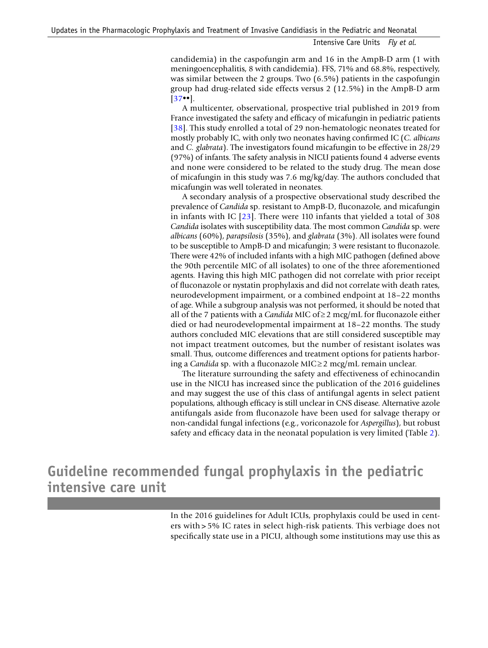candidemia) in the caspofungin arm and 16 in the AmpB-D arm (1 with meningoencephalitis, 8 with candidemia). FFS, 71% and 68.8%, respectively, was similar between the 2 groups. Two (6.5%) patients in the caspofungin group had drug-related side effects versus 2 (12.5%) in the AmpB-D arm [[37](#page-19-3)••].

A multicenter, observational, prospective trial published in 2019 from France investigated the safety and effcacy of micafungin in pediatric patients [[38](#page-19-4)]. This study enrolled a total of 29 non-hematologic neonates treated for mostly probably IC, with only two neonates having confrmed IC (*C. albicans* and *C. glabrata*). The investigators found micafungin to be effective in 28/29 (97%) of infants. The safety analysis in NICU patients found 4 adverse events and none were considered to be related to the study drug. The mean dose of micafungin in this study was 7.6 mg/kg/day. The authors concluded that micafungin was well tolerated in neonates.

A secondary analysis of a prospective observational study described the prevalence of *Candida* sp. resistant to AmpB-D, fuconazole, and micafungin in infants with IC  $[23]$  $[23]$ . There were 110 infants that yielded a total of 308 *Candida* isolates with susceptibility data. The most common *Candida* sp. were *albicans* (60%), *parapsilosis* (35%), and *glabrata* (3%). All isolates were found to be susceptible to AmpB-D and micafungin; 3 were resistant to fuconazole. There were 42% of included infants with a high MIC pathogen (defned above the 90th percentile MIC of all isolates) to one of the three aforementioned agents. Having this high MIC pathogen did not correlate with prior receipt of fuconazole or nystatin prophylaxis and did not correlate with death rates, neurodevelopment impairment, or a combined endpoint at 18–22 months of age. While a subgroup analysis was not performed, it should be noted that all of the 7 patients with a *Candida* MIC of≥2 mcg/mL for fuconazole either died or had neurodevelopmental impairment at 18–22 months. The study authors concluded MIC elevations that are still considered susceptible may not impact treatment outcomes, but the number of resistant isolates was small. Thus, outcome differences and treatment options for patients harboring a *Candida* sp. with a fuconazole MIC≥2 mcg/mL remain unclear.

The literature surrounding the safety and effectiveness of echinocandin use in the NICU has increased since the publication of the 2016 guidelines and may suggest the use of this class of antifungal agents in select patient populations, although effcacy is still unclear in CNS disease. Alternative azole antifungals aside from fuconazole have been used for salvage therapy or non-candidal fungal infections (e.g., voriconazole for *Aspergillus*), but robust safety and effcacy data in the neonatal population is very limited (Table [2](#page-6-0)).

# **Guideline recommended fungal prophylaxis in the pediatric intensive care unit**

In the 2016 guidelines for Adult ICUs, prophylaxis could be used in centers with > 5% IC rates in select high-risk patients. This verbiage does not specifcally state use in a PICU, although some institutions may use this as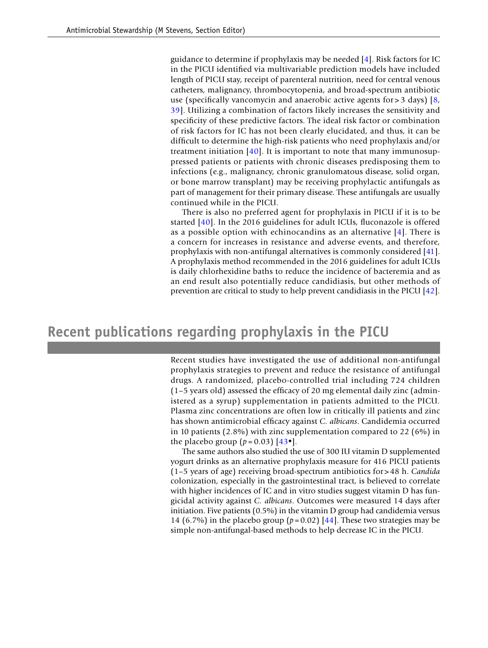guidance to determine if prophylaxis may be needed  $[4]$  $[4]$  $[4]$ . Risk factors for IC in the PICU identifed via multivariable prediction models have included length of PICU stay, receipt of parenteral nutrition, need for central venous catheters, malignancy, thrombocytopenia, and broad-spectrum antibiotic use (specifically vancomycin and anaerobic active agents for  $>$  3 days) [[8,](#page-17-7) [39\]](#page-19-5). Utilizing a combination of factors likely increases the sensitivity and specifcity of these predictive factors. The ideal risk factor or combination of risk factors for IC has not been clearly elucidated, and thus, it can be diffcult to determine the high-risk patients who need prophylaxis and/or treatment initiation  $[40]$ . It is important to note that many immunosuppressed patients or patients with chronic diseases predisposing them to infections (e.g., malignancy, chronic granulomatous disease, solid organ, or bone marrow transplant) may be receiving prophylactic antifungals as part of management for their primary disease. These antifungals are usually continued while in the PICU.

There is also no preferred agent for prophylaxis in PICU if it is to be started [\[40\]](#page-19-6). In the 2016 guidelines for adult ICUs, fuconazole is offered as a possible option with echinocandins as an alternative  $[4]$  $[4]$ . There is a concern for increases in resistance and adverse events, and therefore, prophylaxis with non-antifungal alternatives is commonly considered [[41\]](#page-19-7). A prophylaxis method recommended in the 2016 guidelines for adult ICUs is daily chlorhexidine baths to reduce the incidence of bacteremia and as an end result also potentially reduce candidiasis, but other methods of prevention are critical to study to help prevent candidiasis in the PICU [[42\]](#page-19-8).

### **Recent publications regarding prophylaxis in the PICU**

Recent studies have investigated the use of additional non-antifungal prophylaxis strategies to prevent and reduce the resistance of antifungal drugs. A randomized, placebo-controlled trial including 724 children (1–5 years old) assessed the effcacy of 20 mg elemental daily zinc (administered as a syrup) supplementation in patients admitted to the PICU. Plasma zinc concentrations are often low in critically ill patients and zinc has shown antimicrobial effcacy against *C. albicans*. Candidemia occurred in 10 patients (2.8%) with zinc supplementation compared to 22 (6%) in the placebo group  $(p=0.03)$  [[43](#page-19-9)<sup>•</sup>].

The same authors also studied the use of 300 IU vitamin D supplemented yogurt drinks as an alternative prophylaxis measure for 416 PICU patients (1–5 years of age) receiving broad-spectrum antibiotics for> 48 h. *Candida* colonization, especially in the gastrointestinal tract, is believed to correlate with higher incidences of IC and in vitro studies suggest vitamin D has fungicidal activity against *C. albicans*. Outcomes were measured 14 days after initiation. Five patients (0.5%) in the vitamin D group had candidemia versus 14 (6.7%) in the placebo group ( $p = 0.02$ ) [\[44\]](#page-19-10). These two strategies may be simple non-antifungal-based methods to help decrease IC in the PICU.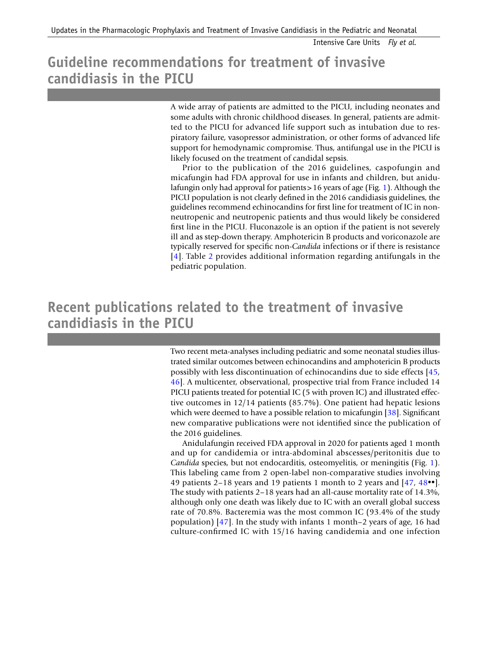# **Guideline recommendations for treatment of invasive candidiasis in the PICU**

A wide array of patients are admitted to the PICU, including neonates and some adults with chronic childhood diseases. In general, patients are admitted to the PICU for advanced life support such as intubation due to respiratory failure, vasopressor administration, or other forms of advanced life support for hemodynamic compromise. Thus, antifungal use in the PICU is likely focused on the treatment of candidal sepsis.

Prior to the publication of the 2016 guidelines, caspofungin and micafungin had FDA approval for use in infants and children, but anidulafungin only had approval for patients>16 years of age (Fig. [1\)](#page-4-0). Although the PICU population is not clearly defned in the 2016 candidiasis guidelines, the guidelines recommend echinocandins for frst line for treatment of IC in nonneutropenic and neutropenic patients and thus would likely be considered frst line in the PICU. Fluconazole is an option if the patient is not severely ill and as step-down therapy. Amphotericin B products and voriconazole are typically reserved for specifc non-*Candida* infections or if there is resistance [[4\]](#page-17-3). Table [2](#page-6-0) provides additional information regarding antifungals in the pediatric population.

# **Recent publications related to the treatment of invasive candidiasis in the PICU**

Two recent meta-analyses including pediatric and some neonatal studies illustrated similar outcomes between echinocandins and amphotericin B products possibly with less discontinuation of echinocandins due to side effects [\[45,](#page-19-11) [46\]](#page-19-12). A multicenter, observational, prospective trial from France included 14 PICU patients treated for potential IC (5 with proven IC) and illustrated effective outcomes in 12/14 patients (85.7%). One patient had hepatic lesions which were deemed to have a possible relation to micafungin [[38\]](#page-19-4). Significant new comparative publications were not identifed since the publication of the 2016 guidelines.

Anidulafungin received FDA approval in 2020 for patients aged 1 month and up for candidemia or intra-abdominal abscesses/peritonitis due to *Candida* species, but not endocarditis, osteomyelitis, or meningitis (Fig. [1](#page-4-0)). This labeling came from 2 open-label non-comparative studies involving 49 patients 2–18 years and 19 patients 1 month to 2 years and [[47](#page-19-13), [48](#page-19-14)••]. The study with patients 2–18 years had an all-cause mortality rate of 14.3%, although only one death was likely due to IC with an overall global success rate of 70.8%. Bacteremia was the most common IC (93.4% of the study population) [[47](#page-19-13)]. In the study with infants 1 month–2 years of age, 16 had culture-confrmed IC with 15/16 having candidemia and one infection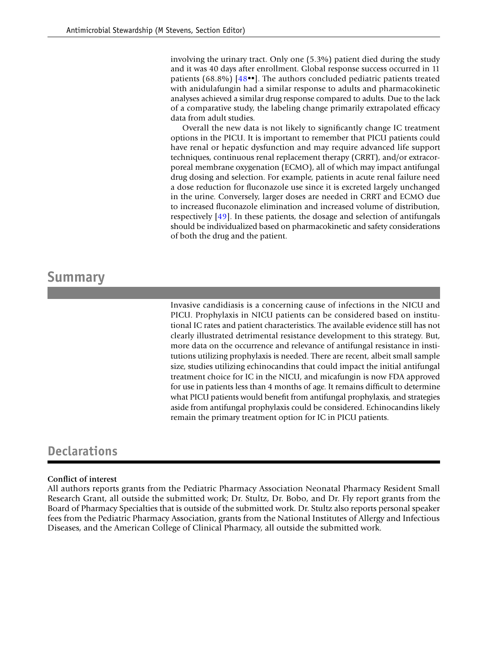involving the urinary tract. Only one (5.3%) patient died during the study and it was 40 days after enrollment. Global response success occurred in 11 patients (68.8%)  $[48\bullet]$  $[48\bullet]$  $[48\bullet]$ . The authors concluded pediatric patients treated with anidulafungin had a similar response to adults and pharmacokinetic analyses achieved a similar drug response compared to adults. Due to the lack of a comparative study, the labeling change primarily extrapolated effcacy data from adult studies.

Overall the new data is not likely to signifcantly change IC treatment options in the PICU. It is important to remember that PICU patients could have renal or hepatic dysfunction and may require advanced life support techniques, continuous renal replacement therapy (CRRT), and/or extracorporeal membrane oxygenation (ECMO), all of which may impact antifungal drug dosing and selection. For example, patients in acute renal failure need a dose reduction for fuconazole use since it is excreted largely unchanged in the urine. Conversely, larger doses are needed in CRRT and ECMO due to increased fuconazole elimination and increased volume of distribution, respectively [[49](#page-19-15)]. In these patients, the dosage and selection of antifungals should be individualized based on pharmacokinetic and safety considerations of both the drug and the patient.

### **Summary**

Invasive candidiasis is a concerning cause of infections in the NICU and PICU. Prophylaxis in NICU patients can be considered based on institutional IC rates and patient characteristics. The available evidence still has not clearly illustrated detrimental resistance development to this strategy. But, more data on the occurrence and relevance of antifungal resistance in institutions utilizing prophylaxis is needed. There are recent, albeit small sample size, studies utilizing echinocandins that could impact the initial antifungal treatment choice for IC in the NICU, and micafungin is now FDA approved for use in patients less than 4 months of age. It remains diffcult to determine what PICU patients would beneft from antifungal prophylaxis, and strategies aside from antifungal prophylaxis could be considered. Echinocandins likely remain the primary treatment option for IC in PICU patients.

### **Declarations**

#### **Confict of interest**

All authors reports grants from the Pediatric Pharmacy Association Neonatal Pharmacy Resident Small Research Grant, all outside the submitted work; Dr. Stultz, Dr. Bobo, and Dr. Fly report grants from the Board of Pharmacy Specialties that is outside of the submitted work. Dr. Stultz also reports personal speaker fees from the Pediatric Pharmacy Association, grants from the National Institutes of Allergy and Infectious Diseases, and the American College of Clinical Pharmacy, all outside the submitted work.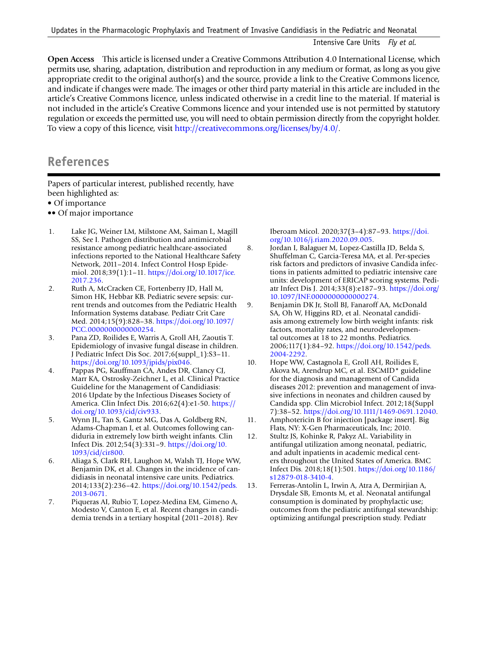**Open Access** This article is licensed under a Creative Commons Attribution 4.0 International License, which permits use, sharing, adaptation, distribution and reproduction in any medium or format, as long as you give appropriate credit to the original author(s) and the source, provide a link to the Creative Commons licence, and indicate if changes were made. The images or other third party material in this article are included in the article's Creative Commons licence, unless indicated otherwise in a credit line to the material. If material is not included in the article's Creative Commons licence and your intended use is not permitted by statutory regulation or exceeds the permitted use, you will need to obtain permission directly from the copyright holder. To view a copy of this licence, visit<http://creativecommons.org/licenses/by/4.0/>.

### **References**

Papers of particular interest, published recently, have been highlighted as:

- Of importance
- •• Of major importance
- <span id="page-17-0"></span>1. Lake JG, Weiner LM, Milstone AM, Saiman L, Magill SS, See I. Pathogen distribution and antimicrobial resistance among pediatric healthcare-associated infections reported to the National Healthcare Safety Network, 2011–2014. Infect Control Hosp Epidemiol. 2018;39(1):1–11. [https://doi.org/10.1017/ice.](https://doi.org/10.1017/ice.2017.236) [2017.236.](https://doi.org/10.1017/ice.2017.236)
- <span id="page-17-1"></span>2. Ruth A, McCracken CE, Fortenberry JD, Hall M, Simon HK, Hebbar KB. Pediatric severe sepsis: current trends and outcomes from the Pediatric Health Information Systems database. Pediatr Crit Care Med. 2014;15(9):828–38. [https://doi.org/10.1097/](https://doi.org/10.1097/PCC.0000000000000254) [PCC.0000000000000254.](https://doi.org/10.1097/PCC.0000000000000254)
- <span id="page-17-2"></span>3. Pana ZD, Roilides E, Warris A, Groll AH, Zaoutis T. Epidemiology of invasive fungal disease in children. J Pediatric Infect Dis Soc. 2017;6(suppl\_1):S3–11. [https://doi.org/10.1093/jpids/pix046.](https://doi.org/10.1093/jpids/pix046)
- <span id="page-17-3"></span>4. Pappas PG, Kauffman CA, Andes DR, Clancy CJ, Marr KA, Ostrosky-Zeichner L, et al. Clinical Practice Guideline for the Management of Candidiasis: 2016 Update by the Infectious Diseases Society of America. Clin Infect Dis. 2016;62(4):e1-50. [https://](https://doi.org/10.1093/cid/civ933) [doi.org/10.1093/cid/civ933](https://doi.org/10.1093/cid/civ933).
- <span id="page-17-4"></span>5. Wynn JL, Tan S, Gantz MG, Das A, Goldberg RN, Adams-Chapman I, et al. Outcomes following candiduria in extremely low birth weight infants. Clin Infect Dis. 2012;54(3):331–9. [https://doi.org/10.](https://doi.org/10.1093/cid/cir800) [1093/cid/cir800.](https://doi.org/10.1093/cid/cir800)
- <span id="page-17-5"></span>6. Aliaga S, Clark RH, Laughon M, Walsh TJ, Hope WW, Benjamin DK, et al. Changes in the incidence of candidiasis in neonatal intensive care units. Pediatrics. 2014;133(2):236–42. [https://doi.org/10.1542/peds.](https://doi.org/10.1542/peds.2013-0671) [2013-0671](https://doi.org/10.1542/peds.2013-0671).
- <span id="page-17-6"></span>7. Piqueras AI, Rubio T, Lopez-Medina EM, Gimeno A, Modesto V, Canton E, et al. Recent changes in candidemia trends in a tertiary hospital (2011–2018). Rev

Iberoam Micol. 2020;37(3–4):87–93. [https://doi.](https://doi.org/10.1016/j.riam.2020.09.005) [org/10.1016/j.riam.2020.09.005](https://doi.org/10.1016/j.riam.2020.09.005).

- <span id="page-17-7"></span>8. Jordan I, Balaguer M, Lopez-Castilla JD, Belda S, Shuffelman C, Garcia-Teresa MA, et al. Per-species risk factors and predictors of invasive Candida infections in patients admitted to pediatric intensive care units: development of ERICAP scoring systems. Pediatr Infect Dis J. 2014;33(8):e187–93. [https://doi.org/](https://doi.org/10.1097/INF.0000000000000274) [10.1097/INF.0000000000000274.](https://doi.org/10.1097/INF.0000000000000274)
- <span id="page-17-8"></span>9. Benjamin DK Jr, Stoll BJ, Fanaroff AA, McDonald SA, Oh W, Higgins RD, et al. Neonatal candidiasis among extremely low birth weight infants: risk factors, mortality rates, and neurodevelopmental outcomes at 18 to 22 months. Pediatrics. 2006;117(1):84–92. [https://doi.org/10.1542/peds.](https://doi.org/10.1542/peds.2004-2292) [2004-2292.](https://doi.org/10.1542/peds.2004-2292)
- <span id="page-17-9"></span>10. Hope WW, Castagnola E, Groll AH, Roilides E, Akova M, Arendrup MC, et al. ESCMID\* guideline for the diagnosis and management of Candida diseases 2012: prevention and management of invasive infections in neonates and children caused by Candida spp. Clin Microbiol Infect. 2012;18(Suppl 7):38–52. <https://doi.org/10.1111/1469-0691.12040>.
- <span id="page-17-10"></span>11. Amphotericin B for injection [package insert]. Big Flats, NY: X-Gen Pharmaceuticals, Inc; 2010.
- <span id="page-17-11"></span>12. Stultz JS, Kohinke R, Pakyz AL. Variability in antifungal utilization among neonatal, pediatric, and adult inpatients in academic medical centers throughout the United States of America. BMC Infect Dis. 2018;18(1):501. [https://doi.org/10.1186/](https://doi.org/10.1186/s12879-018-3410-4) [s12879-018-3410-4.](https://doi.org/10.1186/s12879-018-3410-4)
- <span id="page-17-12"></span>13. Ferreras-Antolin L, Irwin A, Atra A, Dermirjian A, Drysdale SB, Emonts M, et al. Neonatal antifungal consumption is dominated by prophylactic use; outcomes from the pediatric antifungal stewardship: optimizing antifungal prescription study. Pediatr

Intensive Care Units *Fly et al.*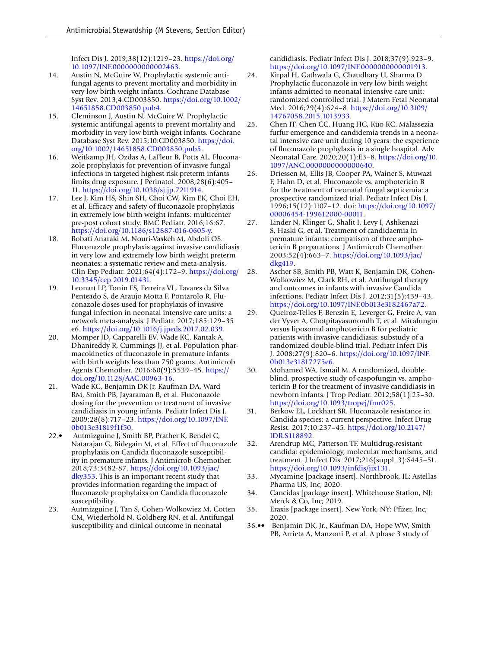Infect Dis J. 2019;38(12):1219–23. [https://doi.org/](https://doi.org/10.1097/INF.0000000000002463) [10.1097/INF.0000000000002463.](https://doi.org/10.1097/INF.0000000000002463)

- <span id="page-18-0"></span>14. Austin N, McGuire W. Prophylactic systemic antifungal agents to prevent mortality and morbidity in very low birth weight infants. Cochrane Database Syst Rev. 2013;4:CD003850. [https://doi.org/10.1002/](https://doi.org/10.1002/14651858.CD003850.pub4) [14651858.CD003850.pub4](https://doi.org/10.1002/14651858.CD003850.pub4).
- <span id="page-18-1"></span>15. Cleminson J, Austin N, McGuire W. Prophylactic systemic antifungal agents to prevent mortality and morbidity in very low birth weight infants. Cochrane Database Syst Rev. 2015;10:CD003850. [https://doi.](https://doi.org/10.1002/14651858.CD003850.pub5) [org/10.1002/14651858.CD003850.pub5.](https://doi.org/10.1002/14651858.CD003850.pub5)
- <span id="page-18-2"></span>16. Weitkamp JH, Ozdas A, LaFleur B, Potts AL. Fluconazole prophylaxis for prevention of invasive fungal infections in targeted highest risk preterm infants limits drug exposure. J Perinatol. 2008;28(6):405– 11. <https://doi.org/10.1038/sj.jp.7211914>.
- <span id="page-18-5"></span>17. Lee J, Kim HS, Shin SH, Choi CW, Kim EK, Choi EH, et al. Effcacy and safety of fuconazole prophylaxis in extremely low birth weight infants: multicenter pre-post cohort study. BMC Pediatr. 2016;16:67. <https://doi.org/10.1186/s12887-016-0605-y>.
- <span id="page-18-6"></span>18. Robati Anaraki M, Nouri-Vaskeh M, Abdoli OS. Fluconazole prophylaxis against invasive candidiasis in very low and extremely low birth weight preterm neonates: a systematic review and meta-analysis. Clin Exp Pediatr. 2021;64(4):172–9. [https://doi.org/](https://doi.org/10.3345/cep.2019.01431) [10.3345/cep.2019.01431](https://doi.org/10.3345/cep.2019.01431).
- <span id="page-18-7"></span>19. Leonart LP, Tonin FS, Ferreira VL, Tavares da Silva Penteado S, de Araujo Motta F, Pontarolo R. Fluconazole doses used for prophylaxis of invasive fungal infection in neonatal intensive care units: a network meta-analysis. J Pediatr. 2017;185:129–35 e6.<https://doi.org/10.1016/j.jpeds.2017.02.039>.
- <span id="page-18-8"></span>20. Momper JD, Capparelli EV, Wade KC, Kantak A, Dhanireddy R, Cummings JJ, et al. Population pharmacokinetics of fuconazole in premature infants with birth weights less than 750 grams. Antimicrob Agents Chemother. 2016;60(9):5539–45. [https://](https://doi.org/10.1128/AAC.00963-16) [doi.org/10.1128/AAC.00963-16.](https://doi.org/10.1128/AAC.00963-16)
- <span id="page-18-3"></span>21. Wade KC, Benjamin DK Jr, Kaufman DA, Ward RM, Smith PB, Jayaraman B, et al. Fluconazole dosing for the prevention or treatment of invasive candidiasis in young infants. Pediatr Infect Dis J. 2009;28(8):717–23. [https://doi.org/10.1097/INF.](https://doi.org/10.1097/INF.0b013e31819f1f50) [0b013e31819f1f50](https://doi.org/10.1097/INF.0b013e31819f1f50).
- <span id="page-18-9"></span>22.• Autmizguine J, Smith BP, Prather K, Bendel C, Natarajan G, Bidegain M, et al. Effect of fuconazole prophylaxis on Candida fuconazole susceptibility in premature infants. J Antimicrob Chemother. 2018;73:3482-87. [https://doi.org/10.1093/jac/](https://doi.org/10.1093/jac/dky353) [dky353.](https://doi.org/10.1093/jac/dky353) This is an important recent study that provides information regarding the impact of fuconazole prophylaixs on Candida fuconazole susceptibility.
- <span id="page-18-10"></span>23. Autmizguine J, Tan S, Cohen-Wolkowiez M, Cotten CM, Wiederhold N, Goldberg RN, et al. Antifungal susceptibility and clinical outcome in neonatal

candidiasis. Pediatr Infect Dis J. 2018;37(9):923–9. [https://doi.org/10.1097/INF.0000000000001913.](https://doi.org/10.1097/INF.0000000000001913)

- <span id="page-18-11"></span>24. Kirpal H, Gathwala G, Chaudhary U, Sharma D. Prophylactic fuconazole in very low birth weight infants admitted to neonatal intensive care unit: randomized controlled trial. J Matern Fetal Neonatal Med. 2016;29(4):624–8. [https://doi.org/10.3109/](https://doi.org/10.3109/14767058.2015.1013933) [14767058.2015.1013933](https://doi.org/10.3109/14767058.2015.1013933).
- <span id="page-18-12"></span>25. Chen IT, Chen CC, Huang HC, Kuo KC. Malassezia furfur emergence and candidemia trends in a neonatal intensive care unit during 10 years: the experience of fuconazole prophylaxis in a single hospital. Adv Neonatal Care. 2020;20(1):E3–8. [https://doi.org/10.](https://doi.org/10.1097/ANC.0000000000000640) [1097/ANC.0000000000000640](https://doi.org/10.1097/ANC.0000000000000640).
- <span id="page-18-13"></span>26. Driessen M, Ellis JB, Cooper PA, Wainer S, Muwazi F, Hahn D, et al. Fluconazole vs. amphotericin B for the treatment of neonatal fungal septicemia: a prospective randomized trial. Pediatr Infect Dis J. 1996;15(12):1107–12. doi: [https://doi.org/10.1097/](https://doi.org/10.1097/00006454-199612000-00011) [00006454-199612000-00011](https://doi.org/10.1097/00006454-199612000-00011).
- <span id="page-18-14"></span>27. Linder N, Klinger G, Shalit I, Levy I, Ashkenazi S, Haski G, et al. Treatment of candidaemia in premature infants: comparison of three amphotericin B preparations. J Antimicrob Chemother. 2003;52(4):663–7. [https://doi.org/10.1093/jac/](https://doi.org/10.1093/jac/dkg419) [dkg419](https://doi.org/10.1093/jac/dkg419).
- <span id="page-18-15"></span>28. Ascher SB, Smith PB, Watt K, Benjamin DK, Cohen-Wolkowiez M, Clark RH, et al. Antifungal therapy and outcomes in infants with invasive Candida infections. Pediatr Infect Dis J. 2012;31(5):439–43. <https://doi.org/10.1097/INF.0b013e3182467a72>.
- <span id="page-18-16"></span>29. Queiroz-Telles F, Berezin E, Leverger G, Freire A, van der Vyver A, Chotpitayasunondh T, et al. Micafungin versus liposomal amphotericin B for pediatric patients with invasive candidiasis: substudy of a randomized double-blind trial. Pediatr Infect Dis J. 2008;27(9):820–6. [https://doi.org/10.1097/INF.](https://doi.org/10.1097/INF.0b013e31817275e6) [0b013e31817275e6](https://doi.org/10.1097/INF.0b013e31817275e6).
- <span id="page-18-17"></span>30. Mohamed WA, Ismail M. A randomized, doubleblind, prospective study of caspofungin vs. amphotericin B for the treatment of invasive candidiasis in newborn infants. J Trop Pediatr. 2012;58(1):25–30. <https://doi.org/10.1093/tropej/fmr025>.
- <span id="page-18-18"></span>31. Berkow EL, Lockhart SR. Fluconazole resistance in Candida species: a current perspective. Infect Drug Resist. 2017;10:237–45. [https://doi.org/10.2147/](https://doi.org/10.2147/IDR.S118892) [IDR.S118892](https://doi.org/10.2147/IDR.S118892).
- <span id="page-18-19"></span>32. Arendrup MC, Patterson TF. Multidrug-resistant candida: epidemiology, molecular mechanisms, and treatment. J Infect Dis. 2017;216(suppl\_3):S445–51. <https://doi.org/10.1093/infdis/jix131>.
- <span id="page-18-20"></span>33. Mycamine [package insert]. Northbrook, IL: Astellas Pharma US, Inc; 2020.
- <span id="page-18-21"></span>34. Cancidas [package insert]. Whitehouse Station, NJ: Merck & Co, Inc; 2019.
- <span id="page-18-22"></span>35. Eraxis [package insert]. New York, NY: Pfizer, Inc; 2020.
- <span id="page-18-4"></span>36.•• Benjamin DK, Jr., Kaufman DA, Hope WW, Smith PB, Arrieta A, Manzoni P, et al. A phase 3 study of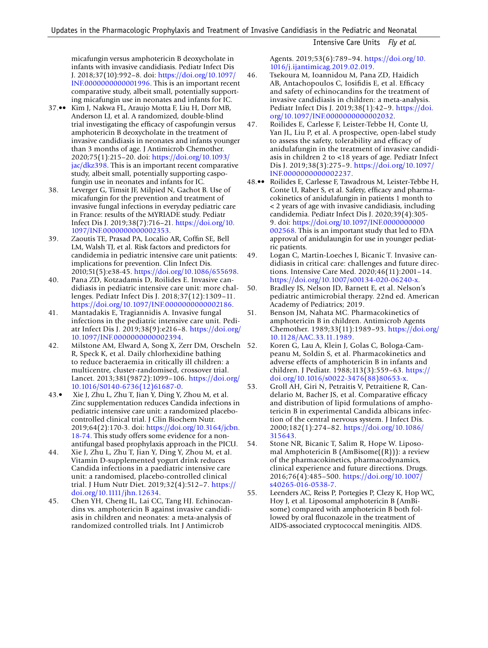micafungin versus amphotericin B deoxycholate in infants with invasive candidiasis. Pediatr Infect Dis J. 2018;37(10):992–8. doi: [https://doi.org/10.1097/](https://doi.org/10.1097/INF.0000000000001996) [INF.0000000000001996](https://doi.org/10.1097/INF.0000000000001996). This is an important recent comparative study, albeit small, potentially supporting micafungin use in neonates and infants for IC.

- <span id="page-19-3"></span>37.•• Kim J, Nakwa FL, Araujo Motta F, Liu H, Dorr MB, Anderson LJ, et al. A randomized, double-blind trial investigating the effcacy of caspofungin versus amphotericin B deoxycholate in the treatment of invasive candidiasis in neonates and infants younger than 3 months of age. J Antimicrob Chemother. 2020;75(1):215–20. doi: [https://doi.org/10.1093/](https://doi.org/10.1093/jac/dkz398) [jac/dkz398.](https://doi.org/10.1093/jac/dkz398) This is an important recent comparative study, albeit small, potentially supporting caspofungin use in neonates and infants for IC.
- <span id="page-19-4"></span>38. Leverger G, Timsit JF, Milpied N, Gachot B. Use of micafungin for the prevention and treatment of invasive fungal infections in everyday pediatric care in France: results of the MYRIADE study. Pediatr Infect Dis J. 2019;38(7):716–21. [https://doi.org/10.](https://doi.org/10.1097/INF.0000000000002353) [1097/INF.0000000000002353](https://doi.org/10.1097/INF.0000000000002353).
- <span id="page-19-5"></span>39. Zaoutis TE, Prasad PA, Localio AR, Coffn SE, Bell LM, Walsh TJ, et al. Risk factors and predictors for candidemia in pediatric intensive care unit patients: implications for prevention. Clin Infect Dis. 2010;51(5):e38-45. <https://doi.org/10.1086/655698>.
- <span id="page-19-6"></span>40. Pana ZD, Kotzadamis D, Roilides E. Invasive candidiasis in pediatric intensive care unit: more challenges. Pediatr Infect Dis J. 2018;37(12):1309–11. <https://doi.org/10.1097/INF.0000000000002186>.
- <span id="page-19-7"></span>41. Mantadakis E, Tragiannidis A. Invasive fungal infections in the pediatric intensive care unit. Pediatr Infect Dis J. 2019;38(9):e216–8. [https://doi.org/](https://doi.org/10.1097/INF.0000000000002394) [10.1097/INF.0000000000002394.](https://doi.org/10.1097/INF.0000000000002394)
- <span id="page-19-8"></span>42. Milstone AM, Elward A, Song X, Zerr DM, Orscheln R, Speck K, et al. Daily chlorhexidine bathing to reduce bacteraemia in critically ill children: a multicentre, cluster-randomised, crossover trial. Lancet. 2013;381(9872):1099–106. [https://doi.org/](https://doi.org/10.1016/S0140-6736(12)61687-0) [10.1016/S0140-6736\(12\)61687-0](https://doi.org/10.1016/S0140-6736(12)61687-0).
- <span id="page-19-9"></span>43.• Xie J, Zhu L, Zhu T, Jian Y, Ding Y, Zhou M, et al. Zinc supplementation reduces Candida infections in pediatric intensive care unit: a randomized placebocontrolled clinical trial. J Clin Biochem Nutr. 2019;64(2):170-3. doi: [https://doi.org/10.3164/jcbn.](https://doi.org/10.3164/jcbn.18-74) [18-74](https://doi.org/10.3164/jcbn.18-74). This study offers some evidence for a nonantifungal based prophylaxis approach in the PICU.
- <span id="page-19-10"></span>44. Xie J, Zhu L, Zhu T, Jian Y, Ding Y, Zhou M, et al. Vitamin D-supplemented yogurt drink reduces Candida infections in a paediatric intensive care unit: a randomised, placebo-controlled clinical trial. J Hum Nutr Diet. 2019;32(4):512–7. [https://](https://doi.org/10.1111/jhn.12634) [doi.org/10.1111/jhn.12634](https://doi.org/10.1111/jhn.12634).
- <span id="page-19-11"></span>45. Chen YH, Cheng IL, Lai CC, Tang HJ. Echinocandins vs. amphotericin B against invasive candidiasis in children and neonates: a meta-analysis of randomized controlled trials. Int J Antimicrob

Agents. 2019;53(6):789–94. [https://doi.org/10.](https://doi.org/10.1016/j.ijantimicag.2019.02.019) [1016/j.ijantimicag.2019.02.019.](https://doi.org/10.1016/j.ijantimicag.2019.02.019)

- <span id="page-19-12"></span>46. Tsekoura M, Ioannidou M, Pana ZD, Haidich AB, Antachopoulos C, Iosifidis E, et al. Efficacy and safety of echinocandins for the treatment of invasive candidiasis in children: a meta-analysis. Pediatr Infect Dis J. 2019;38(1):42–9. [https://doi.](https://doi.org/10.1097/INF.0000000000002032) [org/10.1097/INF.0000000000002032](https://doi.org/10.1097/INF.0000000000002032).
- <span id="page-19-13"></span>47. Roilides E, Carlesse F, Leister-Tebbe H, Conte U, Yan JL, Liu P, et al. A prospective, open-label study to assess the safety, tolerability and effcacy of anidulafungin in the treatment of invasive candidiasis in children 2 to <18 years of age. Pediatr Infect Dis J. 2019;38(3):275–9. [https://doi.org/10.1097/](https://doi.org/10.1097/INF.0000000000002237) [INF.0000000000002237.](https://doi.org/10.1097/INF.0000000000002237)
- <span id="page-19-14"></span>48.•• Roilides E, Carlesse F, Tawadrous M, Leister-Tebbe H, Conte U, Raber S, et al. Safety, efficacy and pharmacokinetics of anidulafungin in patients 1 month to < 2 years of age with invasive candidiasis, including candidemia. Pediatr Infect Dis J. 2020;39(4):305- 9. doi: [https://doi.org/10.1097/INF.0000000000](https://doi.org/10.1097/INF.0000000000002568) [002568.](https://doi.org/10.1097/INF.0000000000002568) This is an important study that led to FDA approval of anidulaungin for use in younger pediatric patients.
- <span id="page-19-15"></span>49. Logan C, Martin-Loeches I, Bicanic T. Invasive candidiasis in critical care: challenges and future directions. Intensive Care Med. 2020;46(11):2001–14. <https://doi.org/10.1007/s00134-020-06240-x>.
- <span id="page-19-0"></span>50. Bradley JS, Nelson JD, Barnett E, et al. Nelson's pediatric antimicrobial therapy. 22nd ed. American Academy of Pediatrics; 2019.
- 51. Benson JM, Nahata MC. Pharmacokinetics of amphotericin B in children. Antimicrob Agents Chemother. 1989;33(11):1989–93. [https://doi.org/](https://doi.org/10.1128/AAC.33.11.1989) [10.1128/AAC.33.11.1989.](https://doi.org/10.1128/AAC.33.11.1989)
	- 52. Koren G, Lau A, Klein J, Golas C, Bologa-Campeanu M, Soldin S, et al. Pharmacokinetics and adverse effects of amphotericin B in infants and children. J Pediatr. 1988;113(3):559–63. [https://](https://doi.org/10.1016/s0022-3476(88)80653-x) [doi.org/10.1016/s0022-3476\(88\)80653-x](https://doi.org/10.1016/s0022-3476(88)80653-x).
- <span id="page-19-1"></span>53. Groll AH, Giri N, Petraitis V, Petraitiene R, Candelario M, Bacher JS, et al. Comparative effcacy and distribution of lipid formulations of amphotericin B in experimental Candida albicans infection of the central nervous system. J Infect Dis. 2000;182(1):274–82. [https://doi.org/10.1086/](https://doi.org/10.1086/315643) [315643.](https://doi.org/10.1086/315643)
	- Stone NR, Bicanic T, Salim R, Hope W. Liposomal Amphotericin B (AmBisome((R))): a review of the pharmacokinetics, pharmacodynamics, clinical experience and future directions. Drugs. 2016;76(4):485–500. [https://doi.org/10.1007/](https://doi.org/10.1007/s40265-016-0538-7) [s40265-016-0538-7](https://doi.org/10.1007/s40265-016-0538-7).
- <span id="page-19-2"></span>55. Leenders AC, Reiss P, Portegies P, Clezy K, Hop WC, Hoy J, et al. Liposomal amphotericin B (AmBisome) compared with amphotericin B both followed by oral fuconazole in the treatment of AIDS-associated cryptococcal meningitis. AIDS.